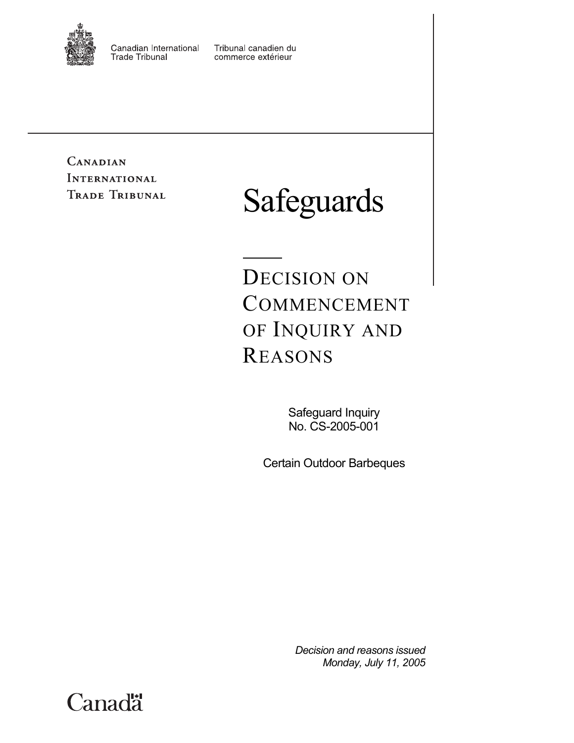

Canadian International **Trade Tribunal** 

Tribunal canadien du commerce extérieur

CANADIAN **INTERNATIONAL** TRADE TRIBUNAL

# Safeguards

DECISION ON COMMENCEMENT OF INQUIRY AND REASONS

> Safeguard Inquiry No. CS-2005-001

Certain Outdoor Barbeques

*Decision and reasons issued Monday, July 11, 2005* 

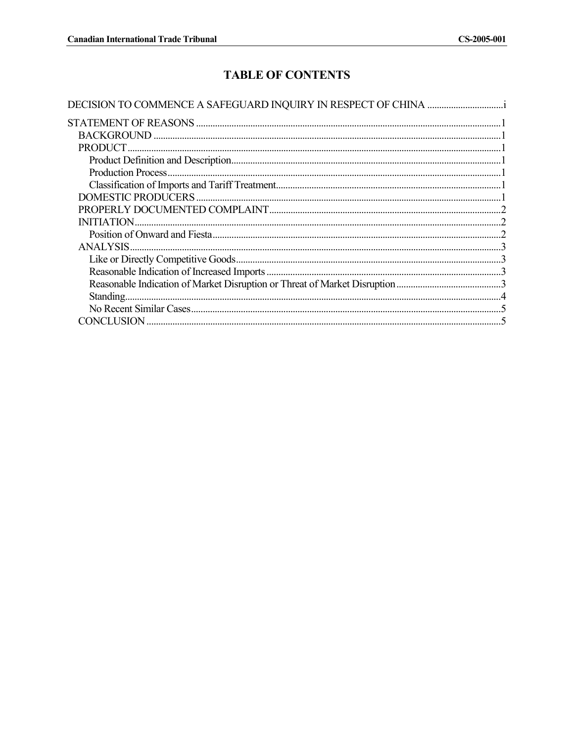# **TABLE OF CONTENTS**

| PRODUCT.                   |
|----------------------------|
|                            |
| <b>Production Process.</b> |
|                            |
|                            |
|                            |
| <b>INITIATION.</b>         |
|                            |
| <b>ANALYSIS</b>            |
|                            |
|                            |
|                            |
| Standing.                  |
|                            |
| CONCLUSION                 |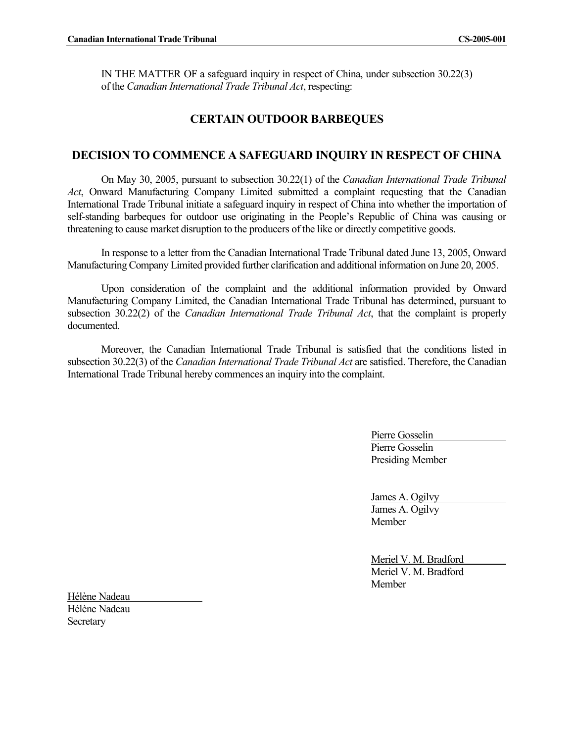IN THE MATTER OF a safeguard inquiry in respect of China, under subsection 30.22(3) of the *Canadian International Trade Tribunal Act*, respecting:

# **CERTAIN OUTDOOR BARBEQUES**

## **DECISION TO COMMENCE A SAFEGUARD INQUIRY IN RESPECT OF CHINA**

On May 30, 2005, pursuant to subsection 30.22(1) of the *Canadian International Trade Tribunal Act*, Onward Manufacturing Company Limited submitted a complaint requesting that the Canadian International Trade Tribunal initiate a safeguard inquiry in respect of China into whether the importation of self-standing barbeques for outdoor use originating in the People's Republic of China was causing or threatening to cause market disruption to the producers of the like or directly competitive goods.

In response to a letter from the Canadian International Trade Tribunal dated June 13, 2005, Onward Manufacturing Company Limited provided further clarification and additional information on June 20, 2005.

Upon consideration of the complaint and the additional information provided by Onward Manufacturing Company Limited, the Canadian International Trade Tribunal has determined, pursuant to subsection 30.22(2) of the *Canadian International Trade Tribunal Act*, that the complaint is properly documented.

Moreover, the Canadian International Trade Tribunal is satisfied that the conditions listed in subsection 30.22(3) of the *Canadian International Trade Tribunal Act* are satisfied. Therefore, the Canadian International Trade Tribunal hereby commences an inquiry into the complaint.

> Pierre Gosselin Pierre Gosselin Presiding Member

James A. Ogilvy James A. Ogilvy Member

Meriel V. M. Bradford Meriel V. M. Bradford Member

Hélène Nadeau Hélène Nadeau **Secretary**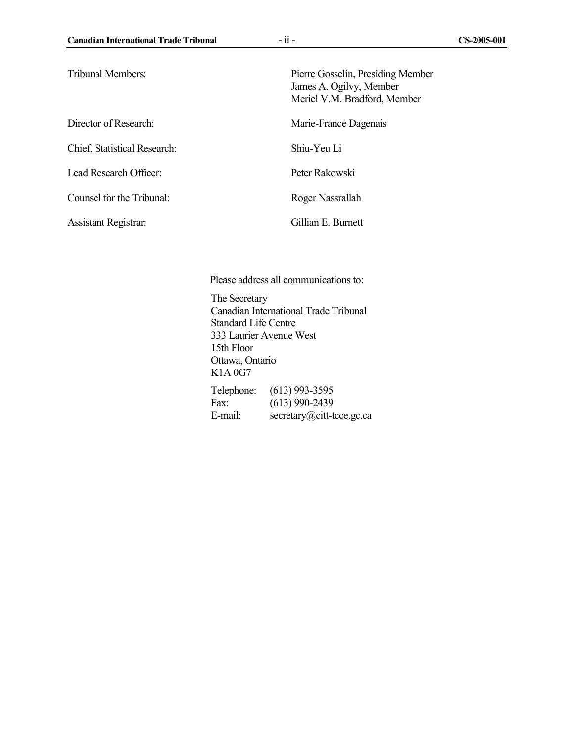Director of Research: Marie-France Dagenais Chief, Statistical Research: Shiu-Yeu Li Lead Research Officer: Peter Rakowski

Counsel for the Tribunal: Roger Nassrallah

Tribunal Members: Pierre Gosselin, Presiding Member James A. Ogilvy, Member Meriel V.M. Bradford, Member

Assistant Registrar: Gillian E. Burnett

Please address all communications to:

The Secretary Canadian International Trade Tribunal Standard Life Centre 333 Laurier Avenue West 15th Floor Ottawa, Ontario K1A 0G7 Telephone: (613) 993-3595 Fax: (613) 990-2439 E-mail: secretary@citt-tcce.gc.ca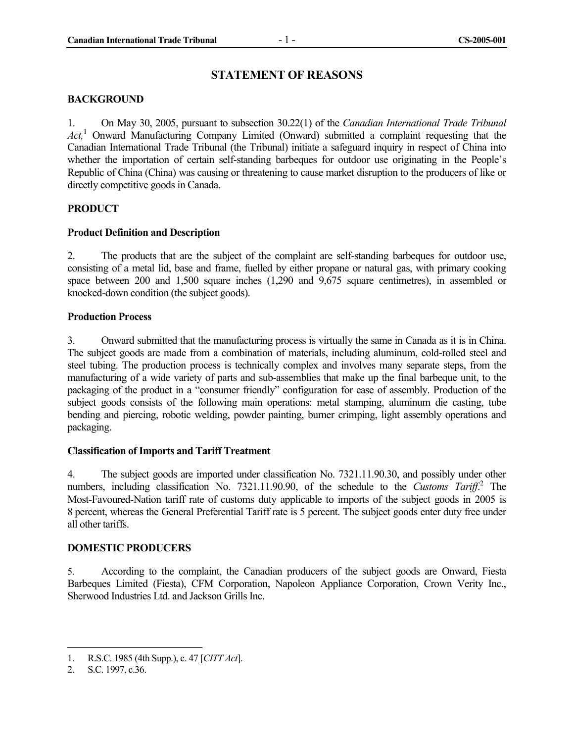# **STATEMENT OF REASONS**

#### **BACKGROUND**

1. On May 30, 2005, pursuant to subsection 30.22(1) of the *Canadian International Trade Tribunal Act,*<sup>1</sup> Onward Manufacturing Company Limited (Onward) submitted a complaint requesting that the Canadian International Trade Tribunal (the Tribunal) initiate a safeguard inquiry in respect of China into whether the importation of certain self-standing barbeques for outdoor use originating in the People's Republic of China (China) was causing or threatening to cause market disruption to the producers of like or directly competitive goods in Canada.

#### **PRODUCT**

#### **Product Definition and Description**

2. The products that are the subject of the complaint are self-standing barbeques for outdoor use, consisting of a metal lid, base and frame, fuelled by either propane or natural gas, with primary cooking space between 200 and 1,500 square inches (1,290 and 9,675 square centimetres), in assembled or knocked-down condition (the subject goods).

#### **Production Process**

3. Onward submitted that the manufacturing process is virtually the same in Canada as it is in China. The subject goods are made from a combination of materials, including aluminum, cold-rolled steel and steel tubing. The production process is technically complex and involves many separate steps, from the manufacturing of a wide variety of parts and sub-assemblies that make up the final barbeque unit, to the packaging of the product in a "consumer friendly" configuration for ease of assembly. Production of the subject goods consists of the following main operations: metal stamping, aluminum die casting, tube bending and piercing, robotic welding, powder painting, burner crimping, light assembly operations and packaging.

#### **Classification of Imports and Tariff Treatment**

4. The subject goods are imported under classification No. 7321.11.90.30, and possibly under other numbers, including classification No. 7321.11.90.90, of the schedule to the *Customs Tariff*.<sup>2</sup> The Most-Favoured-Nation tariff rate of customs duty applicable to imports of the subject goods in 2005 is 8 percent, whereas the General Preferential Tariff rate is 5 percent. The subject goods enter duty free under all other tariffs.

#### **DOMESTIC PRODUCERS**

5. According to the complaint, the Canadian producers of the subject goods are Onward, Fiesta Barbeques Limited (Fiesta), CFM Corporation, Napoleon Appliance Corporation, Crown Verity Inc., Sherwood Industries Ltd. and Jackson Grills Inc.

<sup>1.</sup> R.S.C. 1985 (4th Supp.), c. 47 [*CITT Act*].

<sup>2.</sup> S.C. 1997, c.36.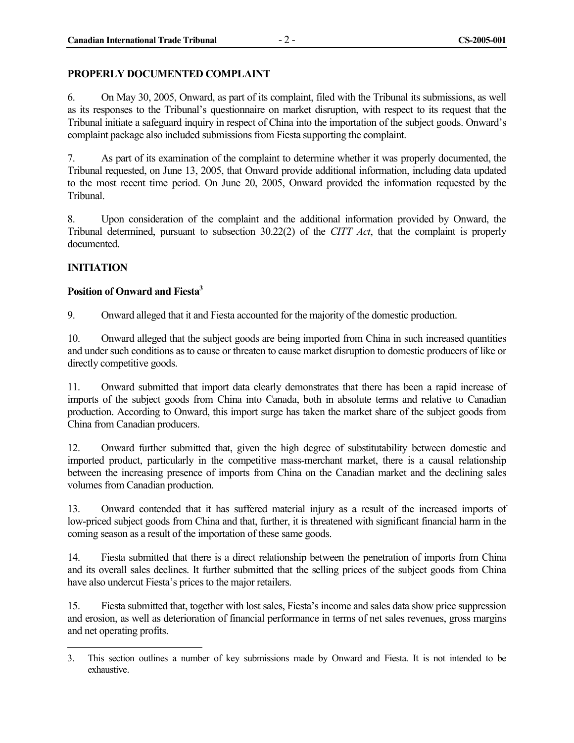#### **PROPERLY DOCUMENTED COMPLAINT**

6. On May 30, 2005, Onward, as part of its complaint, filed with the Tribunal its submissions, as well as its responses to the Tribunal's questionnaire on market disruption, with respect to its request that the Tribunal initiate a safeguard inquiry in respect of China into the importation of the subject goods. Onward's complaint package also included submissions from Fiesta supporting the complaint.

7. As part of its examination of the complaint to determine whether it was properly documented, the Tribunal requested, on June 13, 2005, that Onward provide additional information, including data updated to the most recent time period. On June 20, 2005, Onward provided the information requested by the Tribunal.

8. Upon consideration of the complaint and the additional information provided by Onward, the Tribunal determined, pursuant to subsection 30.22(2) of the *CITT Act*, that the complaint is properly documented.

#### **INITIATION**

#### **Position of Onward and Fiesta3**

9. Onward alleged that it and Fiesta accounted for the majority of the domestic production.

10. Onward alleged that the subject goods are being imported from China in such increased quantities and under such conditions as to cause or threaten to cause market disruption to domestic producers of like or directly competitive goods.

11. Onward submitted that import data clearly demonstrates that there has been a rapid increase of imports of the subject goods from China into Canada, both in absolute terms and relative to Canadian production. According to Onward, this import surge has taken the market share of the subject goods from China from Canadian producers.

12. Onward further submitted that, given the high degree of substitutability between domestic and imported product, particularly in the competitive mass-merchant market, there is a causal relationship between the increasing presence of imports from China on the Canadian market and the declining sales volumes from Canadian production.

13. Onward contended that it has suffered material injury as a result of the increased imports of low-priced subject goods from China and that, further, it is threatened with significant financial harm in the coming season as a result of the importation of these same goods.

14. Fiesta submitted that there is a direct relationship between the penetration of imports from China and its overall sales declines. It further submitted that the selling prices of the subject goods from China have also undercut Fiesta's prices to the major retailers.

15. Fiesta submitted that, together with lost sales, Fiesta's income and sales data show price suppression and erosion, as well as deterioration of financial performance in terms of net sales revenues, gross margins and net operating profits.

 3. This section outlines a number of key submissions made by Onward and Fiesta. It is not intended to be exhaustive.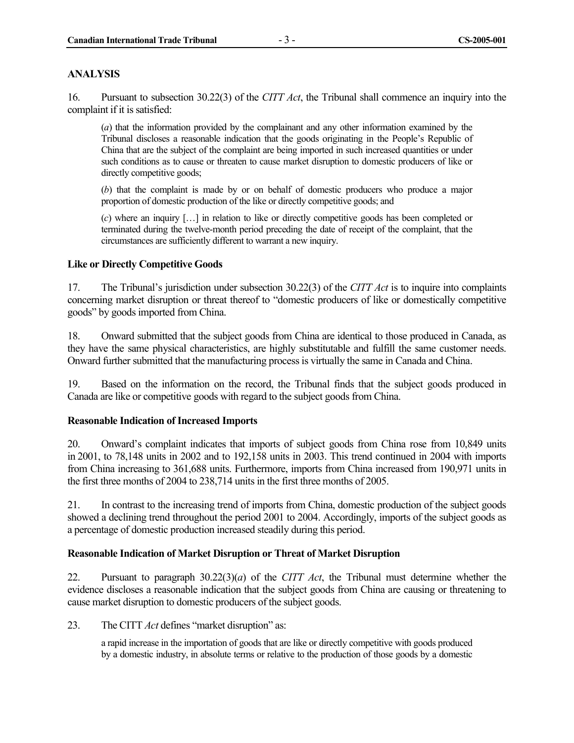#### **ANALYSIS**

16. Pursuant to subsection 30.22(3) of the *CITT Act*, the Tribunal shall commence an inquiry into the complaint if it is satisfied:

(*a*) that the information provided by the complainant and any other information examined by the Tribunal discloses a reasonable indication that the goods originating in the People's Republic of China that are the subject of the complaint are being imported in such increased quantities or under such conditions as to cause or threaten to cause market disruption to domestic producers of like or directly competitive goods;

(*b*) that the complaint is made by or on behalf of domestic producers who produce a major proportion of domestic production of the like or directly competitive goods; and

(*c*) where an inquiry […] in relation to like or directly competitive goods has been completed or terminated during the twelve-month period preceding the date of receipt of the complaint, that the circumstances are sufficiently different to warrant a new inquiry.

#### **Like or Directly Competitive Goods**

17. The Tribunal's jurisdiction under subsection 30.22(3) of the *CITT Act* is to inquire into complaints concerning market disruption or threat thereof to "domestic producers of like or domestically competitive goods" by goods imported from China.

18. Onward submitted that the subject goods from China are identical to those produced in Canada, as they have the same physical characteristics, are highly substitutable and fulfill the same customer needs. Onward further submitted that the manufacturing process is virtually the same in Canada and China.

19. Based on the information on the record, the Tribunal finds that the subject goods produced in Canada are like or competitive goods with regard to the subject goods from China.

#### **Reasonable Indication of Increased Imports**

20. Onward's complaint indicates that imports of subject goods from China rose from 10,849 units in 2001, to 78,148 units in 2002 and to 192,158 units in 2003. This trend continued in 2004 with imports from China increasing to 361,688 units. Furthermore, imports from China increased from 190,971 units in the first three months of 2004 to 238,714 units in the first three months of 2005.

21. In contrast to the increasing trend of imports from China, domestic production of the subject goods showed a declining trend throughout the period 2001 to 2004. Accordingly, imports of the subject goods as a percentage of domestic production increased steadily during this period.

#### **Reasonable Indication of Market Disruption or Threat of Market Disruption**

22. Pursuant to paragraph 30.22(3)(*a*) of the *CITT Act*, the Tribunal must determine whether the evidence discloses a reasonable indication that the subject goods from China are causing or threatening to cause market disruption to domestic producers of the subject goods.

23. The CITT *Act* defines "market disruption" as:

a rapid increase in the importation of goods that are like or directly competitive with goods produced by a domestic industry, in absolute terms or relative to the production of those goods by a domestic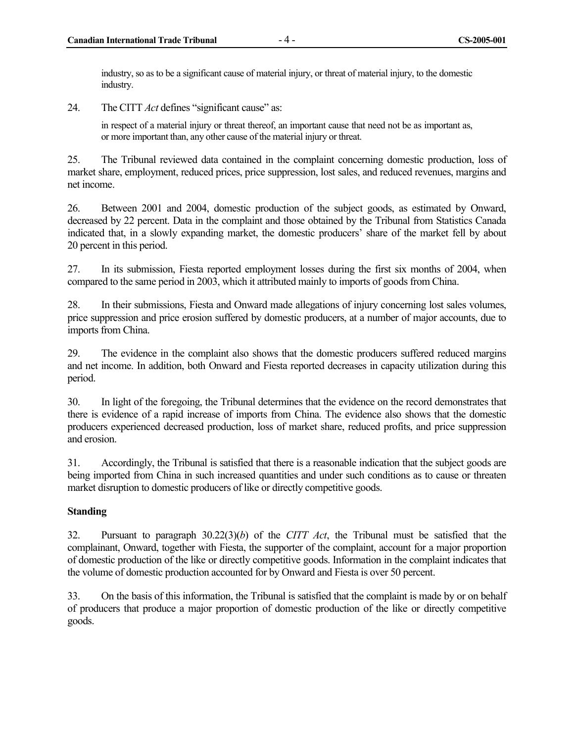industry, so as to be a significant cause of material injury, or threat of material injury, to the domestic industry.

24. The CITT *Act* defines "significant cause" as:

in respect of a material injury or threat thereof, an important cause that need not be as important as, or more important than, any other cause of the material injury or threat.

25. The Tribunal reviewed data contained in the complaint concerning domestic production, loss of market share, employment, reduced prices, price suppression, lost sales, and reduced revenues, margins and net income.

26. Between 2001 and 2004, domestic production of the subject goods, as estimated by Onward, decreased by 22 percent. Data in the complaint and those obtained by the Tribunal from Statistics Canada indicated that, in a slowly expanding market, the domestic producers' share of the market fell by about 20 percent in this period.

27. In its submission, Fiesta reported employment losses during the first six months of 2004, when compared to the same period in 2003, which it attributed mainly to imports of goods from China.

28. In their submissions, Fiesta and Onward made allegations of injury concerning lost sales volumes, price suppression and price erosion suffered by domestic producers, at a number of major accounts, due to imports from China.

29. The evidence in the complaint also shows that the domestic producers suffered reduced margins and net income. In addition, both Onward and Fiesta reported decreases in capacity utilization during this period.

30. In light of the foregoing, the Tribunal determines that the evidence on the record demonstrates that there is evidence of a rapid increase of imports from China. The evidence also shows that the domestic producers experienced decreased production, loss of market share, reduced profits, and price suppression and erosion.

31. Accordingly, the Tribunal is satisfied that there is a reasonable indication that the subject goods are being imported from China in such increased quantities and under such conditions as to cause or threaten market disruption to domestic producers of like or directly competitive goods.

## **Standing**

32. Pursuant to paragraph 30.22(3)(*b*) of the *CITT Act*, the Tribunal must be satisfied that the complainant, Onward, together with Fiesta, the supporter of the complaint, account for a major proportion of domestic production of the like or directly competitive goods. Information in the complaint indicates that the volume of domestic production accounted for by Onward and Fiesta is over 50 percent.

33. On the basis of this information, the Tribunal is satisfied that the complaint is made by or on behalf of producers that produce a major proportion of domestic production of the like or directly competitive goods.